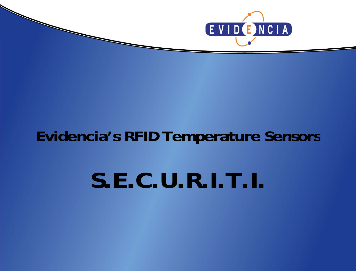

# **Evidencia s' RFID Temperature Sensors Sensors**

**SECURITI S.E.C.U.R.I.T.I.**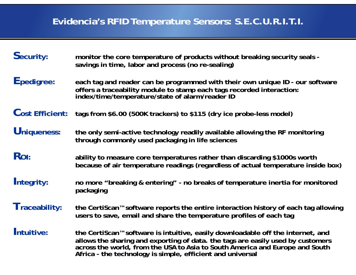## **Evidencia's RFID Temperature Sensors: S.E.C.U.R.I.T.I.**

| Security:              | monitor the core temperature of products without breaking security seals -<br>savings in time, labor and process (no re-sealing)                                                                                                                                                                                             |
|------------------------|------------------------------------------------------------------------------------------------------------------------------------------------------------------------------------------------------------------------------------------------------------------------------------------------------------------------------|
| Epedigree:             | each tag and reader can be programmed with their own unique ID - our software<br>offers a traceability module to stamp each tags recorded interaction:<br>index/time/temperature/state of alarm/reader ID                                                                                                                    |
| <b>Cost Efficient:</b> | tags from \$6.00 (500K trackers) to \$115 (dry ice probe-less model)                                                                                                                                                                                                                                                         |
| Uniqueness:            | the only semi-active technology readily available allowing the RF monitoring<br>through commonly used packaging in life sciences                                                                                                                                                                                             |
| Ro <sub>I</sub> :      | ability to measure core temperatures rather than discarding \$1000s worth<br>because of air temperature readings (regardless of actual temperature inside box)                                                                                                                                                               |
| Integrity:             | no more "breaking & entering" - no breaks of temperature inertia for monitored<br>packaging                                                                                                                                                                                                                                  |
| Traceability:          | the CertiScan <sup>™</sup> software reports the entire interaction history of each tag allowing<br>users to save, email and share the temperature profiles of each tag                                                                                                                                                       |
| Intuitive:             | the CertiScan <sup>™</sup> software is intuitive, easily downloadable off the internet, and<br>allows the sharing and exporting of data. the tags are easily used by customers<br>across the world, from the USA to Asia to South America and Europe and South<br>Africa - the technology is simple, efficient and universal |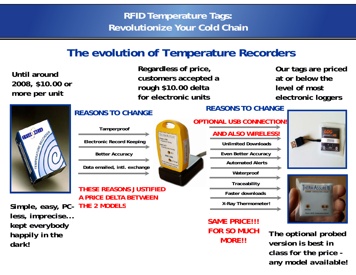### **RFID Temperature Tags: Revolutionize Your Cold Chain**

# **The evolution of Temperature Recorders**

**2008, \$10.00 or more per unit**

**Regardless of price, Our tags are priced Until around** . . . . **customers accepted a rough \$10.00 delta for electronic units**

Our tags are priced **at or below the level of most electronic loggers**



### **REASONS TO CHANGE**



**Data emailed, intl. exchange**

### **THESE REASONS JUSTIFIED A PRICE DELTA BETWEEN**

Simple, easy, PC- THE 2 MODELS **Accord 2 12 Model 1 2 Model 2 Model 1 Model 2 Model 2 Model 2 Model 2 Model 2 Model 2 Model 2 Model 2 Model 2 Model 2 Model 2 Model 2 Model 2 Model 2 Model 2 Model 2 Model 2 Model 2 Model 2 THE 2 MODELS***less, imprecise... kept everybody happily in the* **OR !!** *dark!p p p i p i p i p i i i i i i i i potional prot*<br>*i version is best in* 

### **SAME PRICE!!!FOR SO MUCH MORE!!**

**Unlimited Downloads**

**Even Better Accuracy**

**Automated Alerts**

**Traceability**

**Waterproof**

**Faster downloads**

X-Ray Thermometer!

# **REASONS TO CHANGE OPTIONAL USB CONNECTION!**



*The optional probed class for the price any model available!*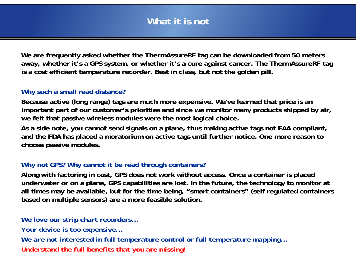### **What it is not**

**We are frequently asked whether the ThermAssureRF tag can be downloaded from 50 meters away, whether it's a GPS system, or whether it's a cure against cancer. The ThermAssureRF tag**  is a cost efficient temperature recorder. Best in class, but not the golden pill.

#### **Why such a small read distance?**

**Because active (long range) tags are much more expensive. xpensive.We ve ' learned that price is an important part of our customer's priorities and since we monitor many products shipped by air, we felt that passive wireless modules were the most logical choice.**

**As a side note, you cannot send signals on a plane, thus making active tags not FAA compliant,**  and the FDA has placed a moratorium on active tags until further notice. One more reason to **choose passive modules.**

### **Why not GPS? Why cannot it be read through containers?**

**Along with factoring in cost, GPS does not work without access. Once a container is placed underwater or on a plane, GPS capabilities are lost. In the future, the technology to monitor at all times may be available, but for the time being, "smart containers" (self regulated containers based on multiple sensors) are a more feasible solution.**

*We love our strip chart recorders... Your device is too expensive...* We are not interested in full temperature control or full temperature mapping... *Understand the full benefits that you are missing!*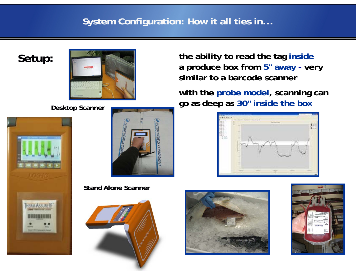### **System Configuration: How it all ties in...**

**Setup:**







**Stand Alone Scanner**



**the ability to read the tag inside a produce box from 5" awa y - ver y p similar to a barcode scanner**

**with the probe model, scanning can go** as deep as 30" inside the box